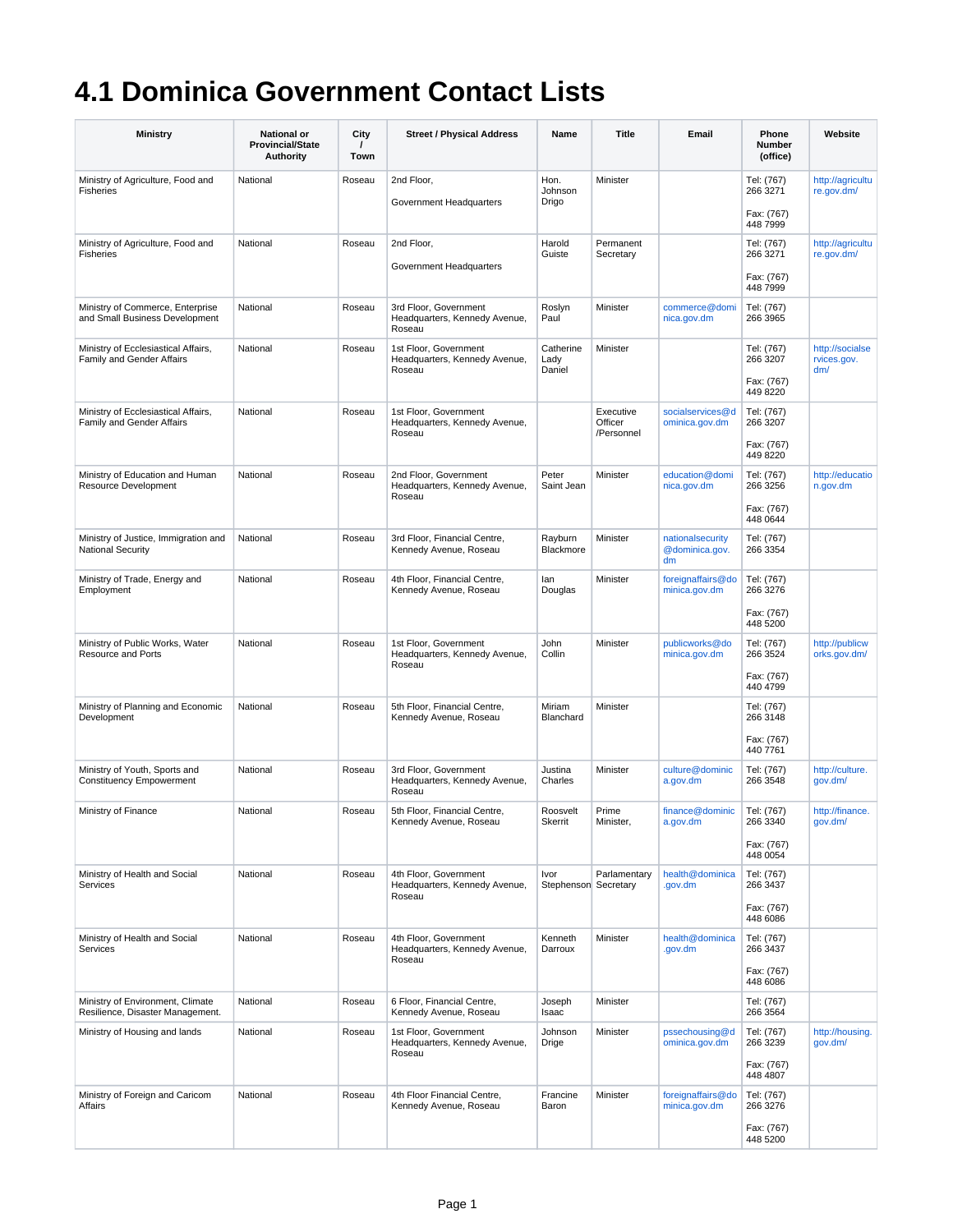## **4.1 Dominica Government Contact Lists**

| <b>Ministry</b>                                                      | <b>National or</b><br><b>Provincial/State</b><br><b>Authority</b> | City<br>Town | <b>Street / Physical Address</b>                                 | Name                         | Title                  | Email                                    | Phone<br>Number<br>(office)          | Website                               |
|----------------------------------------------------------------------|-------------------------------------------------------------------|--------------|------------------------------------------------------------------|------------------------------|------------------------|------------------------------------------|--------------------------------------|---------------------------------------|
| Ministry of Agriculture, Food and<br>Fisheries                       | National                                                          | Roseau       | 2nd Floor,<br>Government Headquarters                            | Hon.<br>Johnson<br>Drigo     | Minister               |                                          | Tel: (767)<br>266 3271               | http://agricultu<br>re.gov.dm/        |
|                                                                      |                                                                   |              |                                                                  |                              |                        |                                          | Fax: (767)<br>448 7999               |                                       |
| Ministry of Agriculture, Food and<br><b>Fisheries</b>                | National                                                          | Roseau       | 2nd Floor,<br>Government Headquarters                            | Harold<br>Guiste             | Permanent<br>Secretary |                                          | Tel: (767)<br>266 3271               | http://agricultu<br>re.gov.dm/        |
|                                                                      |                                                                   |              |                                                                  |                              |                        |                                          | Fax: (767)<br>448 7999               |                                       |
| Ministry of Commerce, Enterprise<br>and Small Business Development   | National                                                          | Roseau       | 3rd Floor, Government<br>Headquarters, Kennedy Avenue,<br>Roseau | Roslvn<br>Paul               | Minister               | commerce@domi<br>nica.gov.dm             | Tel: (767)<br>266 3965               |                                       |
| Ministry of Ecclesiastical Affairs,<br>Family and Gender Affairs     | National                                                          | Roseau       | 1st Floor, Government<br>Headquarters, Kennedy Avenue,<br>Roseau | Catherine<br>Lady<br>Daniel  | Minister               |                                          | Tel: (767)<br>266 3207<br>Fax: (767) | http://socialse<br>rvices.gov.<br>dm/ |
| Ministry of Ecclesiastical Affairs,                                  | National                                                          | Roseau       | 1st Floor, Government                                            |                              | Executive              | socialservices@d                         | 449 8220<br>Tel: (767)               |                                       |
| Family and Gender Affairs                                            |                                                                   |              | Headquarters, Kennedy Avenue,<br>Roseau                          |                              | Officer<br>/Personnel  | ominica.gov.dm                           | 266 3207<br>Fax: (767)               |                                       |
| Ministry of Education and Human                                      | National                                                          | Roseau       | 2nd Floor, Government                                            | Peter                        | Minister               | education@domi                           | 449 8220<br>Tel: (767)               | http://educatio                       |
| Resource Development                                                 |                                                                   |              | Headquarters, Kennedy Avenue,<br>Roseau                          | Saint Jean                   |                        | nica.gov.dm                              | 266 3256<br>Fax: (767)<br>448 0644   | n.gov.dm                              |
| Ministry of Justice, Immigration and<br><b>National Security</b>     | National                                                          | Roseau       | 3rd Floor, Financial Centre,<br>Kennedy Avenue, Roseau           | Rayburn<br>Blackmore         | Minister               | nationalsecurity<br>@dominica.gov.<br>dm | Tel: (767)<br>266 3354               |                                       |
| Ministry of Trade, Energy and<br>Employment                          | National                                                          | Roseau       | 4th Floor, Financial Centre,<br>Kennedy Avenue, Roseau           | lan<br>Douglas               | Minister               | foreignaffairs@do<br>minica.gov.dm       | Tel: (767)<br>266 3276               |                                       |
|                                                                      |                                                                   |              |                                                                  |                              |                        |                                          | Fax: (767)<br>448 5200               |                                       |
| Ministry of Public Works, Water<br><b>Resource and Ports</b>         | National                                                          | Roseau       | 1st Floor, Government<br>Headquarters, Kennedy Avenue,<br>Roseau | John<br>Collin               | Minister               | publicworks@do<br>minica.gov.dm          | Tel: (767)<br>266 3524<br>Fax: (767) | http://publicw<br>orks.gov.dm/        |
| Ministry of Planning and Economic                                    | National                                                          | Roseau       | 5th Floor, Financial Centre,                                     | Miriam                       | Minister               |                                          | 440 4799<br>Tel: (767)               |                                       |
| Development                                                          |                                                                   |              | Kennedy Avenue, Roseau                                           | Blanchard                    |                        |                                          | 266 3148<br>Fax: (767)<br>440 7761   |                                       |
| Ministry of Youth, Sports and<br><b>Constituency Empowerment</b>     | National                                                          | Roseau       | 3rd Floor, Government<br>Headquarters, Kennedy Avenue,<br>Roseau | Justina<br>Charles           | Minister               | culture@dominic<br>a.gov.dm              | Tel: (767)<br>266 3548               | http://culture.<br>gov.dm/            |
| Ministry of Finance                                                  | National                                                          | Roseau       | 5th Floor, Financial Centre,<br>Kennedy Avenue, Roseau           | Roosvelt<br>Skerrit          | Prime<br>Minister,     | finance@dominic<br>a.gov.dm              | Tel: (767)<br>266 3340               | http://finance.<br>gov.dm/            |
|                                                                      |                                                                   |              |                                                                  |                              |                        |                                          | Fax: (767)<br>448 0054               |                                       |
| Ministry of Health and Social<br>Services                            | National                                                          | Roseau       | 4th Floor, Government<br>Headquarters, Kennedy Avenue,<br>Roseau | Ivor<br>Stephenson Secretary | Parlamentary           | health@dominica<br>.gov.dm               | Tel: (767)<br>266 3437               |                                       |
|                                                                      |                                                                   |              |                                                                  |                              |                        |                                          | Fax: (767)<br>448 6086               |                                       |
| Ministry of Health and Social<br>Services                            | National                                                          | Roseau       | 4th Floor, Government<br>Headquarters, Kennedy Avenue,<br>Roseau | Kenneth<br>Darroux           | Minister               | health@dominica<br>.gov.dm               | Tel: (767)<br>266 3437               |                                       |
|                                                                      |                                                                   |              |                                                                  |                              |                        |                                          | Fax: (767)<br>448 6086               |                                       |
| Ministry of Environment, Climate<br>Resilience, Disaster Management. | National                                                          | Roseau       | 6 Floor, Financial Centre,<br>Kennedy Avenue, Roseau             | Joseph<br>Isaac              | Minister               |                                          | Tel: (767)<br>266 3564               |                                       |
| Ministry of Housing and lands                                        | National                                                          | Roseau       | 1st Floor, Government<br>Headquarters, Kennedy Avenue,<br>Roseau | Johnson<br>Drige             | Minister               | pssechousing@d<br>ominica.gov.dm         | Tel: (767)<br>266 3239<br>Fax: (767) | http://housing.<br>gov.dm/            |
| Ministry of Foreign and Caricom                                      | National                                                          | Roseau       | 4th Floor Financial Centre,                                      | Francine                     | Minister               | foreignaffairs@do                        | 448 4807<br>Tel: (767)               |                                       |
| Affairs                                                              |                                                                   |              | Kennedy Avenue, Roseau                                           | Baron                        |                        | minica.gov.dm                            | 266 3276                             |                                       |
|                                                                      |                                                                   |              |                                                                  |                              |                        |                                          | Fax: (767)<br>448 5200               |                                       |